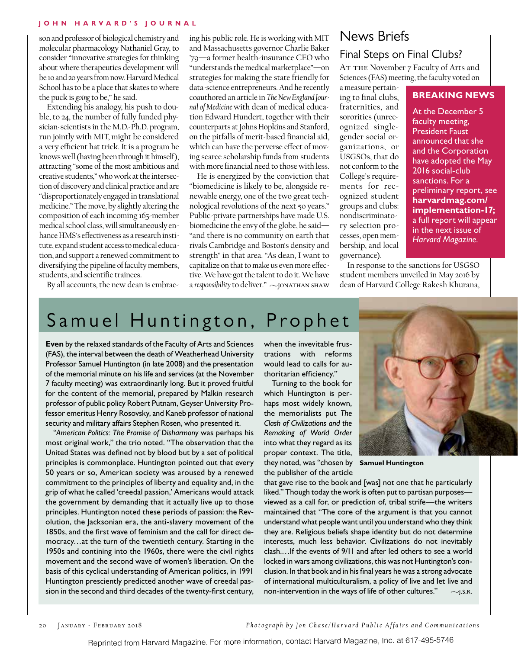#### **John H arvard's Journal**

son and professor of biological chemistry and molecular pharmacology Nathaniel Gray, to consider "innovative strategies for thinking about where therapeutics development will be 10 and 20 years from now. Harvard Medical School has to be a place that skates to where the puck is *going* to be," he said.

Extending his analogy, his push to double, to 24, the number of fully funded physician-scientists in the M.D.-Ph.D. program, run jointly with MIT, might be considered a very efficient hat trick. It is a program he knows well (having been through it himself), attracting "some of the most ambitious and creative students," who work at the intersection of discovery and clinical practice and are "disproportionately engaged in translational medicine." The move, by slightly altering the composition of each incoming 165-member medical school class, will simultaneously enhance HMS's effectiveness as a research institute, expand student access to medical education, and support a renewed commitment to diversifying the pipeline of faculty members, students, and scientific trainees.

ing his public role. He is working with MIT and Massachusetts governor Charlie Baker '79—a former health-insurance CEO who "understands the medical marketplace"—on strategies for making the state friendly for data-science entrepreneurs. And he recently coauthored an article in *The New England Journal of Medicine* with dean of medical education Edward Hundert, together with their counterparts at Johns Hopkins and Stanford, on the pitfalls of merit-based financial aid, which can have the perverse effect of moving scarce scholarship funds from students with more financial need to those with less.

He is energized by the conviction that "biomedicine is likely to be, alongside renewable energy, one of the two great technological revolutions of the next 50 years." Public-private partnerships have made U.S. biomedicine the envy of the globe, he said— "and there is no community on earth that rivals Cambridge and Boston's density and strength" in that area. "As dean, I want to capitalize on that to make us even more effective. We have got the talent to do it. We have a *responsibility* to deliver."  $\sim$ JONATHAN SHAW

### News Briefs

### Final Steps on Final Clubs?

AT THE November 7 Faculty of Arts and Sciences (FAS) meeting, the faculty voted on

In response to the sanctions for USGSO student members unveiled in May 2016 by dean of Harvard College Rakesh Khurana,

### a measure pertaining to final clubs, fraternities, and sororities (unrecognized singlegender social organizations, or USGSOs, that do not conform to the College's requirements for recognized student groups and clubs: nondiscriminatory selection processes, open membership, and local governance).

### **BREAKING NEWS**

At the December 5 faculty meeting, President Faust announced that she and the Corporation have adopted the May 2016 social-club sanctions. For a preliminary report, see **harvardmag.com/ implementation-17;** a full report will appear in the next issue of *Harvard Magazine.*

By all accounts, the new dean is embrac-

Samuel Huntington, Prophet

**Even** by the relaxed standards of the Faculty of Arts and Sciences (FAS), the interval between the death of Weatherhead University Professor Samuel Huntington (in late 2008) and the presentation of the memorial minute on his life and services (at the November 7 faculty meeting) was extraordinarily long. But it proved fruitful for the content of the memorial, prepared by Malkin research professor of public policy Robert Putnam, Geyser University Professor emeritus Henry Rosovsky, and Kaneb professor of national security and military affairs Stephen Rosen, who presented it.

"*American Politics: The Promise of Disharmony* was perhaps his most original work," the trio noted. "The observation that the United States was defined not by blood but by a set of political principles is commonplace. Huntington pointed out that every 50 years or so, American society was aroused by a renewed commitment to the principles of liberty and equality and, in the grip of what he called 'creedal passion,' Americans would attack the government by demanding that it actually live up to those principles. Huntington noted these periods of passion: the Revolution, the Jacksonian era, the anti-slavery movement of the 1850s, and the first wave of feminism and the call for direct democracy…at the turn of the twentieth century. Starting in the 1950s and contining into the 1960s, there were the civil rights movement and the second wave of women's liberation. On the basis of this cyclical understanding of American politics, in 1991 Huntington presciently predicted another wave of creedal passion in the second and third decades of the twenty-first century,

when the invevitable frustrations with reforms would lead to calls for authoritarian efficiency."

Turning to the book for which Huntington is perhaps most widely known, the memorialists put *The Clash of Civilizations and the Remaking of World Order* into what they regard as its proper context. The title, they noted, was "chosen by **Samuel Huntington** the publisher of the article



that gave rise to the book and [was] not one that he particularly liked." Though today the work is often put to partisan purposes viewed as a call for, or prediction of, tribal strife—the writers maintained that "The core of the argument is that you cannot understand what people want until you understand who they think they are. Religious beliefs shape identity but do not determine interests, much less behavior. Civilizations do not inevitably clash.…If the events of 9/11 and after led others to see a world locked in wars among civilizations, this was not Huntington's conclusion. In that book and in his final years he was a strong advocate of international multiculturalism, a policy of live and let live and non-intervention in the ways of life of other cultures."  $\sim$ J.S.R.

*Photograph by Jon Chase/Har vard Public Affairs and Communications*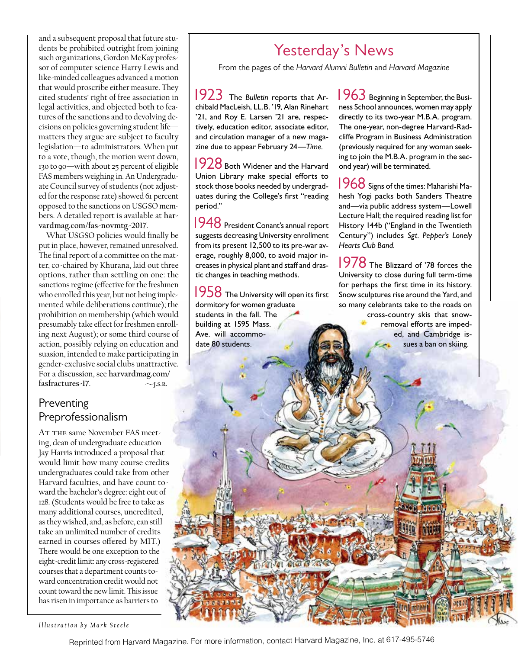and a subsequent proposal that future students be prohibited outright from joining such organizations, Gordon McKay professor of computer science Harry Lewis and like-minded colleagues advanced a motion that would proscribe either measure. They cited students' right of free association in legal activities, and objected both to features of the sanctions and to devolving decisions on policies governing student life matters they argue are subject to faculty legislation—to administrators. When put to a vote, though, the motion went down, 130 to 90—with about 25 percent of eligible FAS members weighing in. An Undergraduate Council survey of students (not adjusted for the response rate) showed 61 percent opposed to the sanctions on USGSO members. A detailed report is available at **harvardmag.com/fas-novmtg-2017**.

What USGSO policies would finally be put in place, however, remained unresolved. The final report of a committee on the matter, co-chaired by Khurana, laid out three options, rather than settling on one: the sanctions regime (effective for the freshmen who enrolled this year, but not being implemented while deliberations continue); the prohibition on membership (which would presumably take effect for freshmen enrolling next August); or some third course of action, possibly relying on education and suasion, intended to make participating in gender-exclusive social clubs unattractive. For a discussion, see **harvardmag.com/**  $fasfractures-17.$   $\sim$ <sub>J.S.R.</sub>

### Preventing Preprofessionalism

AT THE same November FAS meeting, dean of undergraduate education Jay Harris introduced a proposal that would limit how many course credits undergraduates could take from other Harvard faculties, and have count toward the bachelor's degree: eight out of 128. (Students would be free to take as many additional courses, uncredited, as they wished, and, as before, can still take an unlimited number of credits earned in courses offered by MIT.) There would be one exception to the eight-credit limit: any cross-registered courses that a department counts toward concentration credit would not count toward the new limit. This issue has risen in importance as barriers to

## Yesterday's News

From the pages of the *Harvard Alumni Bulletin* and *Harvard Magazine* 

 1923 The *Bulletin* reports that Archibald MacLeish, LL.B. '19, Alan Rinehart '21, and Roy E. Larsen '21 are, respectively, education editor, associate editor, and circulation manager of a new magazine due to appear February 24—*Time.*

1928 Both Widener and the Harvard Union Library make special efforts to stock those books needed by undergraduates during the College's first "reading period."

 1948 President Conant's annual report suggests decreasing University enrollment from its present 12,500 to its pre-war average, roughly 8,000, to avoid major increases in physical plant and staff and drastic changes in teaching methods.

1958 The University will open its first dormitory for women graduate students in the fall. The building at 1595 Mass. Ave. will accommodate 80 students.

1963 Beginning in September, the Business School announces, women may apply directly to its two-year M.B.A. program. The one-year, non-degree Harvard-Radcliffe Program in Business Administration (previously required for any woman seeking to join the M.B.A. program in the second year) will be terminated.

 1968 Signs of the times: Maharishi Mahesh Yogi packs both Sanders Theatre and—via public address system—Lowell Lecture Hall; the required reading list for History 144b ("England in the Twentieth Century") includes *Sgt. Pepper's Lonely Hearts Club Band.*

1978 The Blizzard of '78 forces the University to close during full term-time for perhaps the first time in its history. Snow sculptures rise around the Yard, and so many celebrants take to the roads on cross-country skis that snowremoval efforts are impeded, and Cambridge issues a ban on skiing.

*Illustration by Mark Steele*